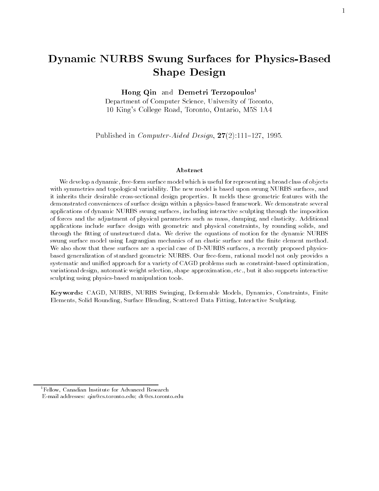# Dynamic NURBS Swung Surfaces for Physics-BasedShape Design

Hong Qin and Demetri Terzopoulos<sup>1</sup>

Department of Computer Science, University of Toronto, 10 King's College Road, Toronto, Ontario, M5S 1A4

Published in  $Computer$ -Aided Design,  $27(2):111{-}127$ , 1995.

#### Abstract

We develop a dynamic, free-form surface model which is useful for representing a broad class of objects with symmetries and topological variability. The new model is based upon swung NURBS surfaces, and it inherits their desirable cross-sectional design properties. It melds these geometric features with the demonstrated conveniences of surface design within a physics-based framework. We demonstrate several applications of dynamic NURBS swung surfaces, including interactive sculpting through the imposition of forces and the adjustment of physical parameters such as mass, damping, and elasticity. Additional applications include surface design with geometric and physical constraints, by rounding solids, and through the fitting of unstructured data. We derive the equations of motion for the dynamic NURBS swung surface model using Lagrangian mechanics of an elastic surface and the finite element method. We also show that these surfaces are a special case of D-NURBS surfaces, a recently proposed physicsbased generalization of standard geometric NURBS. Our free-form, rational model not only provides a systematic and unied approach for a variety of CAGD problems such as constraint-based optimization, variational design, automatic weight selection, shape approximation, etc., but it also supports interactive sculpting using physics-based manipulation tools.

Keywords: CAGD, NURBS, NURBS Swinging, Deformable Models, Dynamics, Constraints, Finite Elements, Solid Rounding, Surface Blending, Scattered Data Fitting, Interactive Sculpting.

<sup>&</sup>lt;sup>1</sup>Fellow, Canadian Institute for Advanced Research E-mail addresses: qin@cs.toronto.edu; dt@cs.toronto.edu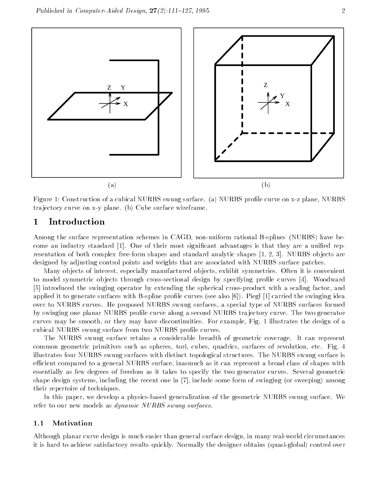



Figure 1: Construction of a cubical NURBS swung surface. (a) NURBS profile curve on x-z plane, NURBS tra jectory curve on x-y plane. (b) Cube surface wireframe.

## 1 Introduction

Among the surface representation schemes in CAGD, non-uniform rational B-splines (NURBS) have become an industry standard [1]. One of their most significant advantages is that they are a unified representation of both complex free-form shapes and standard analytic shapes [1, 2, 3]. NURBS ob jects are designed by adjusting control points and weights that are associated with NURBS surface patches.

Many ob jects of interest, especially manufactured ob jects, exhibit symmetries. Often it is convenient to model symmetric objects through cross-sectional design by specifying profile curves [4]. Woodward [5] introduced the swinging operator by extending the spherical cross-product with a scaling factor, and applied it to generate surfaces with B-spline profile curves (see also  $[6]$ ). Piegl  $[1]$  carried the swinging idea over to NURBS curves. He proposed NURBS swung surfaces, a special type of NURBS surfaces formed by swinging one planar NURBS prole curve along a second NURBS tra jectory curve. The two generator curves may be smooth, or they may have discontinuities. For example, Fig. 1 illustrates the design of a cubical NURBS swung surface from two NURBS profile curves.

The NURBS swung surface retains a considerable breadth of geometric coverage. It can represent common geometric primitives such as spheres, tori, cubes, quadrics, surfaces of revolution, etc. Fig. 4 illustrates four NURBS swung surfaces with distinct topological structures. The NURBS swung surface is efficient compared to a general NURBS surface, inasmuch as it can represent a broad class of shapes with essentially as few degrees of freedom as it takes to specify the two generator curves. Several geometric shape design systems, including the recent one in [7], include some form of swinging (or sweeping) among their repertoire of techniques.

In this paper, we develop a physics-based generalization of the geometric NURBS swung surface. We refer to our new models as *dynamic NURBS swung surfaces*.

## 1.1 Motivation

Although planar curve design is much easier than general surface design, in many real-world circumstances it is hard to achieve satisfactory results quickly. Normally the designer obtains (quasi-global) control over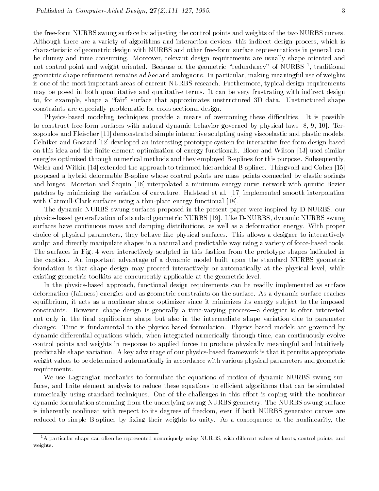the free-form NURBS swung surface by adjusting the control points and weights of the two NURBS curves. Although there are a variety of algorithms and interaction devices, this indirect design process, which is characteristic of geometric design with NURBS and other free-form surface representations in general, can be clumsy and time consuming. Moreover, relevant design requirements are usually shape oriented and not control point and weight oriented. Because of the geometric  $\,$  redundancy  $\,$  of NURBS 1, traditional  $\,$ geometric shape refinement remains ad hoc and ambiguous. In particular, making meaningful use of weights is one of the most important areas of current NURBS research. Furthermore, typical design requirements may be posed in both quantitative and qualitative terms. It can be very frustrating with indirect design to, for example, shape a "fair" surface that approximates unstructured 3D data. Unstructured shape constraints are especially problematic for cross-sectional design.

Physics-based modeling techniques provide a means of overcoming these difficulties. It is possible to construct free-form surfaces with natural dynamic behavior governed by physical laws [8, 9, 10]. Terzopoulos and Fleischer [11] demonstrated simple interactive sculpting using viscoelastic and plastic models. Celniker and Gossard [12] developed an interesting prototype system for interactive free-form design based on this idea and the finite-element optimization of energy functionals. Bloor and Wilson [13] used similar energies optimized through numerical methods and they employed B-splines for this purpose. Subsequently, Welch and Witkin [14] extended the approach to trimmed hierarchical B-splines. Thingvold and Cohen [15] proposed a hybrid deformable B-spline whose control points are mass points connected by elastic springs and hinges. Moreton and Sequin [16] interpolated a minimum energy curve network with quintic Bezier patches by minimizing the variation of curvature. Halstead et al. [17] implemented smooth interpolation with Catmull-Clark surfaces using a thin-plate energy functional [18].

The dynamic NURBS swung surfaces proposed in the present paper were inspired by D-NURBS, our physics-based generalization of standard geometric NURBS [19]. Like D-NURBS, dynamic NURBS swung surfaces have continuous mass and damping distributions, as well as a deformation energy. With proper choice of physical parameters, they behave like physical surfaces. This allows a designer to interactively sculpt and directly manipulate shapes in a natural and predictable way using a variety of force-based tools. The surfaces in Fig. 4 were interactively sculpted in this fashion from the prototype shapes indicated in the caption. An important advantage of a dynamic model built upon the standard NURBS geometric foundation is that shape design may proceed interactively or automatically at the physical level, while existing geometric toolkits are concurrently applicable at the geometric level.

In the physics-based approach, functional design requirements can be readily implemented as surface deformation (fairness) energies and as geometric constraints on the surface. As a dynamic surface reaches equilibrium, it acts as a nonlinear shape optimizer since it minimizes its energy subject to the imposed constraints. However, shape design is generally a time-varying process—a designer is often interested not only in the final equilibrium shape but also in the intermediate shape variation due to parameter changes. Time is fundamental to the physics-based formulation. Physics-based models are governed by dynamic differential equations which, when integrated numerically through time, can continuously evolve control points and weights in response to applied forces to produce physically meaningful and intuitively predictable shape variation. A key advantage of our physics-based framework is that it permits appropriate weight values to be determined automatically in accordance with various physical parameters and geometric requirements.

We use Lagrangian mechanics to formulate the equations of motion of dynamic NURBS swung surfaces, and finite element analysis to reduce these equations to efficient algorithms that can be simulated numerically using standard techniques. One of the challenges in this effort is coping with the nonlinear dynamic formulation stemming from the underlying swung NURBS geometry. The NURBS swung surface is inherently nonlinear with respect to its degrees of freedom, even if both NURBS generator curves are reduced to simple B-splines by fixing their weights to unity. As a consequence of the nonlinearity, the

<sup>&</sup>lt;sup>1</sup>A particular shape can often be represented nonuniquely using NURBS, with different values of knots, control points, and weights.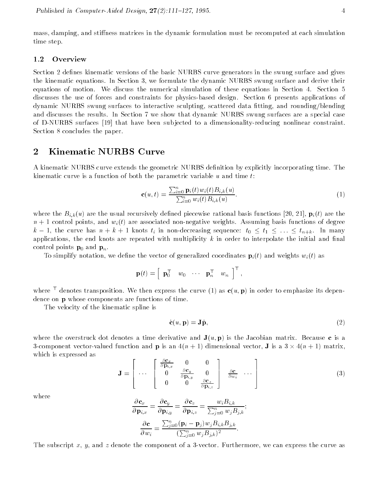mass, damping, and stiffness matrices in the dynamic formulation must be recomputed at each simulation time step.

Section 2 defines kinematic versions of the basic NURBS curve generators in the swung surface and gives the kinematic equations. In Section 3, we formulate the dynamic NURBS swung surface and derive their equations of motion. We discuss the numerical simulation of these equations in Section 4. Section 5 discusses the use of forces and constraints for physics-based design. Section 6 presents applications of dynamic NURBS swung surfaces to interactive sculpting, scattered data fitting, and rounding/blending and discusses the results. In Section 7 we show that dynamic NURBS swung surfaces are a special case of D-NURBS surfaces [19] that have been sub jected to a dimensionality-reducing nonlinear constraint. Section 8 concludes the paper.

## 2 Kinematic NURBS Curve

A kinematic NURBS curve extends the geometric NURBS definition by explicitly incorporating time. The kinematic curve is a function of both the parametric variable  $u$  and time  $t$ :

$$
\mathbf{c}(u,t) = \frac{\sum_{i=0}^{n} \mathbf{p}_i(t) w_i(t) B_{i,k}(u)}{\sum_{i=0}^{n} w_i(t) B_{i,k}(u)}.
$$
(1)

where the  $B_{i,k}(u)$  are the usual recursively defined piecewise rational basis functions [20, 21],  $\mathbf{p}_i(t)$  are the  $n + 1$  control points, and  $w<sub>i</sub>(t)$  are associated non-negative weights. Assuming basis functions of degree k in the curve has n + k +  $\alpha$  in the curve  $\alpha$  in the curve  $\alpha$  in  $\alpha$  in  $\alpha$  in  $\alpha$  . In  $\alpha$  , in  $\alpha$ applications, the end knots are repeated with multiplicity  $k$  in order to interpolate the initial and final control points  $\mathbf{p}_0$  and  $\mathbf{p}_n$ .

To simplify notation, we define the vector of generalized coordinates  $\mathbf{p}_i(t)$  and weights  $w_i(t)$  as

$$
\mathbf{p}(t) = \begin{bmatrix} \mathbf{p}_0^\top & w_0 & \cdots & \mathbf{p}_n^\top & w_n \end{bmatrix}^\top,
$$

where  $\sim$  denotes transposition. We then express the curve (1) as  ${\bf c}(u,{\bf p})$  in order to emphasize its dependence on p whose components are functions of time.

The velocity of the kinematic spline is

$$
\dot{\mathbf{c}}(u, \mathbf{p}) = \mathbf{J}\dot{\mathbf{p}},\tag{2}
$$

where the overstruck dot denotes a time derivative and  $J(u, p)$  is the Jacobian matrix. Because c is a 3-component vector-valued function and p is an 4(<sup>n</sup> + 1) dimensional vector, J is a 3 - 4(n + 1) matrix, which is expressed as

$$
\mathbf{J} = \left[ \begin{array}{ccc} \cdots & \begin{bmatrix} \frac{\partial \mathbf{C}_x}{\partial \mathbf{p}_{i,x}} & 0 & 0 \\ 0 & \frac{\partial \mathbf{c}_y}{\partial \mathbf{p}_{i,y}} & 0 \\ 0 & 0 & \frac{\partial \mathbf{c}_z}{\partial \mathbf{p}_{i,z}} \end{bmatrix} & \frac{\partial \mathbf{c}}{\partial w_i} & \cdots \end{array} \right] \tag{3}
$$

where

$$
\frac{\partial \mathbf{c}_x}{\partial \mathbf{p}_{i,x}} = \frac{\partial \mathbf{c}_y}{\partial \mathbf{p}_{i,y}} = \frac{\partial \mathbf{c}_z}{\partial \mathbf{p}_{i,z}} = \frac{w_i B_{i,k}}{\sum_{j=0}^n w_j B_{j,k}};
$$

$$
\frac{\partial \mathbf{c}}{\partial w_i} = \frac{\sum_{j=0}^n (\mathbf{p}_i - \mathbf{p}_j) w_j B_{i,k} B_{j,k}}{(\sum_{j=0}^n w_j B_{j,k})^2}.
$$

The subscript x, y, and z denote the component of a 3-vector. Furthermore, we can express the curve as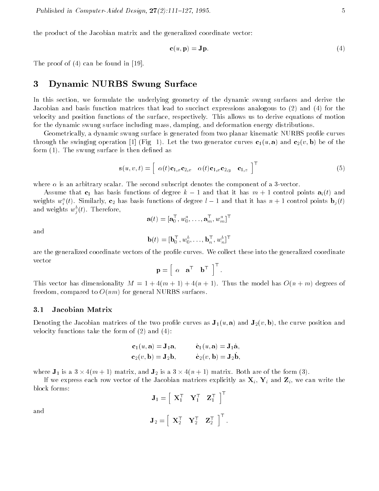the product of the Jacobian matrix and the generalized coordinate vector:

$$
\mathbf{c}(u, \mathbf{p}) = \mathbf{J}\mathbf{p}.\tag{4}
$$

The proof of (4) can be found in [19].

## 3 Dynamic NURBS Swung Surface

In this section, we formulate the underlying geometry of the dynamic swung surfaces and derive the Jacobian and basis function matrices that lead to succinct expressions analogous to (2) and (4) for the velocity and position functions of the surface, respectively. This allows us to derive equations of motion for the dynamic swung surface including mass, damping, and deformation energy distributions.

Geometrically, a dynamic swung surface is generated from two planar kinematic NURBS prole curves through the swinging operation [1] (Fig 1). Let the two generator curves  $c_1(u, a)$  and  $c_2(v, b)$  be of the form  $(1)$ . The swung surface is then defined as

$$
\mathbf{s}(u,v,t) = \begin{bmatrix} \alpha(t)\mathbf{c}_{1,x}\mathbf{c}_{2,x} & \alpha(t)\mathbf{c}_{1,x}\mathbf{c}_{2,y} & \mathbf{c}_{1,z} \end{bmatrix}^{\mathsf{T}}
$$
(5)

where  $\alpha$  is an arbitrary scalar. The second subscript denotes the component of a 3-vector.

Assume that  $c_1$  has basis functions of degree  $k-1$  and that it has  $m+1$  control points  $a_i(t)$  and weights  $w_i^*(t)$ . Similarly,  ${\bf c}_2$  has basis functions of degree  $t-1$  and that it has  $n+1$  control points  ${\bf b}_j(t)$  $\ddot{\phantom{1}}$ and weights  $w_j^*(t)$ . Therefore,  $\blacksquare$ 

$$
\mathbf{a}(t) = [\mathbf{a}_0^\top, w_0^a, \ldots, \mathbf{a}_m^\top, w_m^a]^\top
$$

and

$$
\mathbf{b}(t) = [\mathbf{b}_0^\top, w_0^b, \dots, \mathbf{b}_n^\top, w_n^b]^\top
$$

are the generalized coordinate vectors of the prole curves. We collect these into the generalized coordinate vector

$$
\mathbf{p} = \begin{bmatrix} \alpha & \mathbf{a}^\top & \mathbf{b}^\top \end{bmatrix}^\top.
$$

This vector has dimensionality  $M = 1 + 4(m + 1) + 4(n + 1)$ . Thus the model has  $O(n + m)$  degrees of freedom, compared to  $O(nm)$  for general NURBS surfaces.

### 3.1 Jacobian Matrix

Denoting the Jacobian matrices of the two profile curves as  $J_1(u, a)$  and  $J_2(v, b)$ , the curve position and velocity functions take the form of  $(2)$  and  $(4)$ :

$$
c_1(u, a) = J_1a, \t c_1(u, a) = J_1a, c_2(v, b) = J_2b, \t c_2(v, b) = J_2b,
$$

where  $\sim$  1 is a 3 - 1)  $\sim$  1) matrix, and  $\sim$  2 - 1  $\sim$  1)  $\sim$  1  $\sim$  1  $\sim$  1 matrix. Both are of the form (3).

If we express each row vector of the Jacobian matrices explicitly as  $N$  and  $N$  and  $N$  and  $N$  and  $N$  write the  $N$ block forms:

$$
\mathbf{J}_1 = \left[ \begin{array}{cc} \mathbf{X}_1^{\top} & \mathbf{Y}_1^{\top} & \mathbf{Z}_1^{\top} \end{array} \right]^{\top}
$$

and

$$
\mathbf{J}_2 = \left[ \begin{array}{ccc} \mathbf{X}_2^\top & \mathbf{Y}_2^\top & \mathbf{Z}_2^\top \end{array} \right]^\top.
$$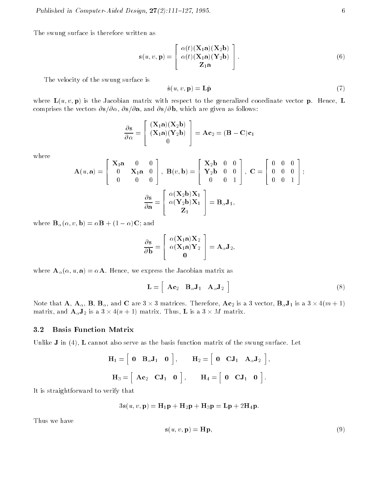The swung surface is therefore written as

$$
\mathbf{s}(u,v,\mathbf{p}) = \begin{bmatrix} \alpha(t) (\mathbf{X}_1 \mathbf{a})(\mathbf{X}_2 \mathbf{b}) \\ \alpha(t) (\mathbf{X}_1 \mathbf{a})(\mathbf{Y}_2 \mathbf{b}) \\ \mathbf{Z}_1 \mathbf{a} \end{bmatrix} .
$$
 (6)

The velocity of the swung surface is

$$
\dot{\mathbf{s}}(u,v,\mathbf{p}) = \mathbf{L}\dot{\mathbf{p}} \tag{7}
$$

where  $L(u, v, p)$  is the Jacobian matrix with respect to the generalized coordinate vector p. Hence, L comprises the vectors  $\partial s/\partial \alpha$ ,  $\partial s/\partial a$ , and  $\partial s/\partial b$ , which are given as follows:

$$
\frac{\partial \mathbf{s}}{\partial \alpha} = \begin{bmatrix} (\mathbf{X}_1 \mathbf{a})(\mathbf{X}_2 \mathbf{b}) \\ (\mathbf{X}_1 \mathbf{a})(\mathbf{Y}_2 \mathbf{b}) \\ 0 \end{bmatrix} = \mathbf{A} \mathbf{c}_2 = (\mathbf{B} - \mathbf{C}) \mathbf{c}_1
$$

where

$$
\mathbf{A}(u,\mathbf{a}) = \begin{bmatrix} \mathbf{X}_1 \mathbf{a} & 0 & 0 \\ 0 & \mathbf{X}_1 \mathbf{a} & 0 \\ 0 & 0 & 0 \end{bmatrix}, \ \mathbf{B}(v,\mathbf{b}) = \begin{bmatrix} \mathbf{X}_2 \mathbf{b} & 0 & 0 \\ \mathbf{Y}_2 \mathbf{b} & 0 & 0 \\ 0 & 0 & 1 \end{bmatrix}, \ \mathbf{C} = \begin{bmatrix} 0 & 0 & 0 \\ 0 & 0 & 0 \\ 0 & 0 & 1 \end{bmatrix};
$$
\n
$$
\frac{\partial \mathbf{s}}{\partial \mathbf{a}} = \begin{bmatrix} \alpha(\mathbf{X}_2 \mathbf{b})\mathbf{X}_1 \\ \alpha(\mathbf{Y}_2 \mathbf{b})\mathbf{X}_1 \\ \mathbf{Z}_1 \end{bmatrix} = \mathbf{B}_{\alpha} \mathbf{J}_1,
$$

where  $\mathbf{B}_{\alpha}(\alpha, v, \mathbf{b}) = \alpha \mathbf{B} + (1 - \alpha) \mathbf{C}$ ; and

$$
\frac{\partial \mathbf{s}}{\partial \mathbf{b}} = \begin{bmatrix} \alpha(\mathbf{X}_1 \mathbf{a}) \mathbf{X}_2 \\ \alpha(\mathbf{X}_1 \mathbf{a}) \mathbf{Y}_2 \\ \mathbf{0} \end{bmatrix} = \mathbf{A}_{\alpha} \mathbf{J}_2,
$$

where  $\mathbf{A}_{\alpha}(\alpha, u, \mathbf{a}) = \alpha \mathbf{A}$ . Hence, we express the Jacobian matrix as

$$
\mathbf{L} = \left[ \begin{array}{cc} \mathbf{A} \mathbf{c}_2 & \mathbf{B}_{\alpha} \mathbf{J}_1 & \mathbf{A}_{\alpha} \mathbf{J}_2 \end{array} \right] \tag{8}
$$

Note that A, A, B, B, and C are 3 - 3 matrices. Therefore, Ac2 is a 3 vector, BJ1 is a 3 - 4(m + 1) matrix, and AJ2 is a 3 - 4(<sup>n</sup> + 1) matrix. Thus, L is a 3 - <sup>M</sup> matrix.

#### 3.2 Basis Function Matrix

Unlike **J** in (4), **L** cannot also serve as the basis function matrix of the swung surface. Let

$$
\mathbf{H}_1 = \begin{bmatrix} \mathbf{0} & \mathbf{B}_{\alpha} \mathbf{J}_1 & \mathbf{0} \end{bmatrix}, \quad \mathbf{H}_2 = \begin{bmatrix} \mathbf{0} & \mathbf{C} \mathbf{J}_1 & \mathbf{A}_{\alpha} \mathbf{J}_2 \end{bmatrix},
$$

$$
\mathbf{H}_3 = \begin{bmatrix} \mathbf{A} \mathbf{c}_2 & \mathbf{C} \mathbf{J}_1 & \mathbf{0} \end{bmatrix}, \quad \mathbf{H}_4 = \begin{bmatrix} \mathbf{0} & \mathbf{C} \mathbf{J}_1 & \mathbf{0} \end{bmatrix}.
$$

It is straightforward to verify that

$$
3\mathbf{s}(u,v,\mathbf{p}) = \mathbf{H}_1\mathbf{p} + \mathbf{H}_2\mathbf{p} + \mathbf{H}_3\mathbf{p} = \mathbf{L}\mathbf{p} + 2\mathbf{H}_4\mathbf{p}.
$$

Thus we have

$$
\mathbf{s}(u, v, \mathbf{p}) = \mathbf{H}\mathbf{p},\tag{9}
$$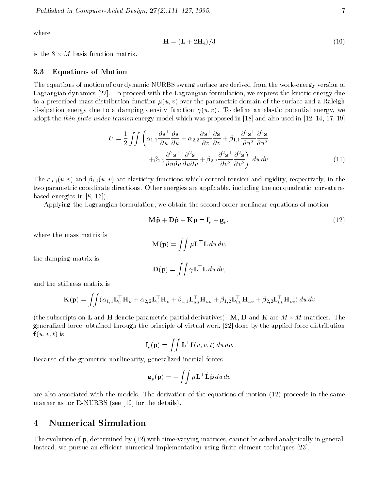where

$$
\mathbf{H} = (\mathbf{L} + 2\mathbf{H}_4)/3\tag{10}
$$

is the 3 - <sup>M</sup> basis function matrix.

#### 3.3 Equations of Motion

The equations of motion of our dynamic NURBS swung surface are derived from the work-energy version of Lagrangian dynamics [22]. To proceed with the Lagrangian formulation, we express the kinetic energy due to a prescribed mass distribution function  $\mu(u, v)$  over the parametric domain of the surface and a Raleigh dissipation energy due to a damping density function  $\gamma(u, v)$ . To define an elastic potential energy, we adopt the *thin-plate under tension* energy model which was proposed in [18] and also used in [12, 14, 17, 19]

$$
U = \frac{1}{2} \int \int \left( \alpha_{1,1} \frac{\partial \mathbf{s}^\top}{\partial u} \frac{\partial \mathbf{s}}{\partial u} + \alpha_{2,2} \frac{\partial \mathbf{s}^\top}{\partial v} \frac{\partial \mathbf{s}}{\partial v} + \beta_{1,1} \frac{\partial^2 \mathbf{s}^\top}{\partial u^2} \frac{\partial^2 \mathbf{s}}{\partial u^2} + \beta_{1,2} \frac{\partial^2 \mathbf{s}^\top}{\partial u \partial v} \frac{\partial^2 \mathbf{s}}{\partial u \partial v} + \beta_{2,2} \frac{\partial^2 \mathbf{s}^\top}{\partial v^2} \frac{\partial^2 \mathbf{s}}{\partial v^2} \right) du dv.
$$
 (11)

The  $\alpha_{i,j}$  (u) v) and  $\beta_{i,j}$  (u) v) are elasticity functions which control tension and rigidity, respectively, in the two parametric coordinate directions. Other energies are applicable, including the nonquadratic, curvaturebased energies in [8, 16]).

Applying the Lagrangian formulation, we obtain the second-order nonlinear equations of motion

$$
\mathbf{M}\ddot{\mathbf{p}} + \mathbf{D}\dot{\mathbf{p}} + \mathbf{K}\mathbf{p} = \mathbf{f}_p + \mathbf{g}_p,\tag{12}
$$

where the mass matrix is

the damping matrix is

$$
\mathbf{M}(\mathbf{p}) = \iint \mu \mathbf{L}^\top \mathbf{L} \, du \, dv,
$$

$$
\mathbf{D}(\mathbf{p}) = \iint \gamma \mathbf{L}^\top \mathbf{L} \, du \, dv,
$$

and the stiffness matrix is

$$
\mathbf{K}(\mathbf{p}) = \iint (\alpha_{1,1} \mathbf{L}_u^{\top} \mathbf{H}_u + \alpha_{2,2} \mathbf{L}_v^{\top} \mathbf{H}_v + \beta_{1,1} \mathbf{L}_u^{\top} \mathbf{H}_{uu} + \beta_{1,2} \mathbf{L}_u^{\top} \mathbf{H}_{uv} + \beta_{2,2} \mathbf{L}_v^{\top} \mathbf{H}_{vv}) du dv
$$

(the subscripts on L and H denote parametric particles particles). M, D and H and M - M, D and M - M - M generalized force, obtained through the principle of virtual work [22] done by the applied force distribution  $f(u, v, t)$  is

$$
\mathbf{f}_p(\mathbf{p}) = \iint \mathbf{L}^\top \mathbf{f}(u, v, t) \, du \, dv.
$$

Because of the geometric nonlinearity, generalized inertial forces

$$
\mathbf{g}_p(\mathbf{p}) = -\iint \mu \mathbf{L}^\top \dot{\mathbf{L}} \dot{\mathbf{p}} \, du \, dv
$$

are also associated with the models. The derivation of the equations of motion (12) proceeds in the same manner as for D-NURBS (see [19] for the details).

#### 4 4 Numerical Simulation

The evolution of p, determined by (12) with time-varying matrices, cannot be solved analytically in general. Instead, we pursue an efficient numerical implementation using finite-element techniques [23].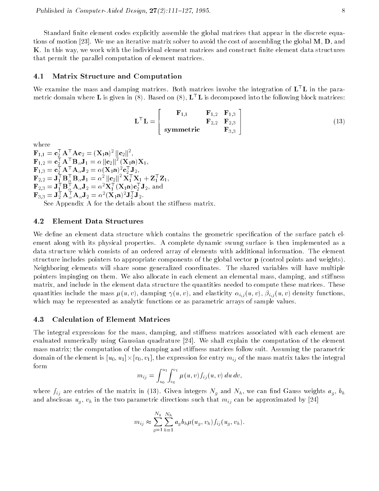Standard finite element codes explicitly assemble the global matrices that appear in the discrete equations of motion [23]. We use an iterative matrix solver to avoid the cost of assembling the global  $M, D$ , and K. In this way, we work with the individual element matrices and construct nite element data structures that permit the parallel computation of element matrices.

#### Matrix Structure and Computation  $4.1$

We examine the mass and damping matrices. Both matrices involve the integration of  $L<sup>T</sup>L$  in the parametric domain where **L** is given in (8). Based on (8),  $L^{\top}L$  is decomposed into the following block matrices:

$$
\mathbf{L}^{\top}\mathbf{L} = \begin{bmatrix} \mathbf{F}_{1,1} & \mathbf{F}_{1,2} & \mathbf{F}_{1,3} \\ \mathbf{F}_{2,2} & \mathbf{F}_{2,3} \\ \text{symmetric} & \mathbf{F}_{3,3} \end{bmatrix}
$$
(13)

 $\mathbf{r}_{1,1} = \mathbf{c}_2 \mathbf{A}^\top \mathbf{A} \mathbf{c}_2 = (\mathbf{A}_1 \mathbf{a})^\top \|\mathbf{c}_2\|^\top,$  $\mathbf{F}_{1,2} = \mathbf{c}_2^{\top} \mathbf{A}^{\top} \mathbf{B}_{\alpha} \mathbf{J}_1 = \alpha \left\| \mathbf{c}_2^{\top} \right\|^{-} (\mathbf{A})$  $\sqrt{11}$  $\mathbf{r}_{1,3} = \mathbf{c}_2 \mathbf{A}^\top \mathbf{A}_{\alpha} \mathbf{J}_2 = \alpha (\mathbf{A}_1 \mathbf{a})^\top \mathbf{c}_2 \mathbf{J}_2,$  $\mathbf{F}_{2,2} = \mathbf{J}_1 \mathbf{B}_{\alpha} \mathbf{B}_{\alpha} \mathbf{J}_1 = \alpha^2 \|\mathbf{C}_2\|^\top \mathbf{A}_1 \mathbf{A}_1 + \mathbf{Z}_1 \mathbf{Z}_1,$  $\mathbf{r}_{2,3} = \mathbf{J}_1 \mathbf{D}_{\alpha} \mathbf{A}_{\alpha} \mathbf{J}_2 = \alpha^2 \mathbf{A}_1 (\mathbf{A}_1 \mathbf{a}) \mathbf{c}_2 \mathbf{J}_2$ , and  $\mathbf{r}_{3,3} = \mathbf{J}_2 \mathbf{A}_{\alpha} \mathbf{A}_{\alpha} \mathbf{J}_2 = \alpha^{\dagger} (\mathbf{A}_1 \mathbf{a})^{\dagger} \mathbf{J}_2 \mathbf{J}_2.$ 

See Appendix A for the details about the stiffness matrix.

### 4.2 Element Data Structures

We define an element data structure which contains the geometric specification of the surface patch element along with its physical properties. A complete dynamic swung surface is then implemented as a data structure which consists of an ordered array of elements with additional information. The element structure includes pointers to appropriate components of the global vector p (control points and weights). Neighboring elements will share some generalized coordinates. The shared variables will have multiple pointers impinging on them. We also allocate in each element an elemental mass, damping, and stiffness matrix, and include in the element data structure the quantities needed to compute these matrices. These quantities include the mass  $\mu$ ,  $u, v$ ), damping  $\mu$  (u, v), and elasticity  $\alpha_{i,j}$  (u, v),  $\mu_{i,j}$  (u, v) density functions, which may be represented as analytic functions or as parametric arrays of sample values.

#### 4.3 Calculation of Element Matrices

The integral expressions for the mass, damping, and stiffness matrices associated with each element are evaluated numerically using Gaussian quadrature [24]. We shall explain the computation of the element mass matrix; the computation of the damping and stiffness matrices follow suit. Assuming the parametric  $\alpha$ omain of the element is  $[w_0; w_1] \wedge [v_0; v_1]$ , the expression for entry  $m_{ij}$  of the mass matrix takes the meeting form  $\overline{a}$   $\overline{a}$   $\overline{b}$  $2.01$ 

$$
m_{ij} = \int_{u_0}^{u_1} \int_{v_0}^{v_1} \mu(u, v) f_{ij}(u, v) du dv,
$$

where  $f_{i,j}$  are entries of the matrix in (13). Given integers by and I  $g$  and Nh, we can not define  $g_{j,j}$  and  $g_{j,j}$ and abscribed abscribed up the two parametric directions such that military  $\mu$  is the approximated by  $\mu$  [24]

$$
m_{ij} \approx \sum_{g=1}^{N_g} \sum_{h=1}^{N_h} a_g b_h \mu(u_g, v_h) f_{ij}(u_g, v_h).
$$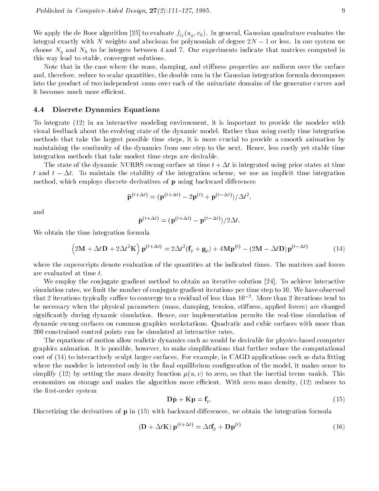We apply the de Boor algorithm [25] to evaluate fij (ug ; vh). In general, Gaussian quadrature evaluates the integral exactly with N weights and abscissas for polynomials of degree  $2N - 1$  or less. In our system we choose Ng and Nh to be integers between 4 and 7. Our experiments indicate that matrices computed in this way lead to stable, convergent solutions.

Note that in the case where the mass, damping, and stiffness properties are uniform over the surface and, therefore, reduce to scalar quantities, the double sum in the Gaussian integration formula decomposes into the product of two independent sums over each of the univariate domains of the generator curves and it becomes much more efficient.

#### 4.4 Discrete Dynamics Equations

To integrate (12) in an interactive modeling environment, it is important to provide the modeler with visual feedback about the evolving state of the dynamic model. Rather than using costly time integration methods that take the largest possible time steps, it is more crucial to provide a smooth animation by maintaining the continuity of the dynamics from one step to the next. Hence, less costly yet stable time integration methods that take modest time steps are desirable.

The state of the dynamic NURBS swung surface at time  $t + \Delta t$  is integrated using prior states at time t and  $t - \Delta t$ . To maintain the stability of the integration scheme, we use an implicit time integration method, which employs discrete derivatives of  $\bf{p}$  using backward differences

$$
\ddot{\mathbf{p}}^{(t+\Delta t)} = (\mathbf{p}^{(t+\Delta t)} - 2\mathbf{p}^{(t)} + \mathbf{p}^{(t-\Delta t)})/\Delta t^2,
$$

and

$$
\dot{\mathbf{p}}^{(t+\Delta t)} = (\mathbf{p}^{(t+\Delta t)} - \mathbf{p}^{(t-\Delta t)})/2\Delta t.
$$

We obtain the time integration formula

$$
(2\mathbf{M} + \Delta t \mathbf{D} + 2\Delta t^2 \mathbf{K}) \mathbf{p}^{(t+\Delta t)} = 2\Delta t^2 (\mathbf{f}_p + \mathbf{g}_p) + 4\mathbf{M} \mathbf{p}^{(t)} - (2\mathbf{M} - \Delta t \mathbf{D}) \mathbf{p}^{(t-\Delta t)}
$$
(14)

where the superscripts denote evaluation of the quantities at the indicated times. The matrices and forces are evaluated at time t.

We employ the conjugate gradient method to obtain an iterative solution [24]. To achieve interactive simulation rates, we limit the number of conjugate gradient iterations per time step to 10. We have observed that 2 fterations typically suffice to converge to a residual of less than 10 °. More than 2 fterations tend to be necessary when the physical parameters (mass, damping, tension, stiffness, applied forces) are changed signicantly during dynamic simulation. Hence, our implementation permits the real-time simulation of dynamic swung surfaces on common graphics workstations. Quadratic and cubic surfaces with more than 200 constrained control points can be simulated at interactive rates.

The equations of motion allow realistic dynamics such as would be desirable for physics-based computer graphics animation. It is possible, however, to make simplications that further reduce the computational cost of (14) to interactively sculpt larger surfaces. For example, in CAGD applications such as data fitting where the modeler is interested only in the final equilibrium configuration of the model, it makes sense to simplify (12) by setting the mass density function  $\mu(u, v)$  to zero, so that the inertial terms vanish. This economizes on storage and makes the algorithm more efficient. With zero mass density, (12) reduces to the first-order system

$$
\mathbf{D}\dot{\mathbf{p}} + \mathbf{K}\mathbf{p} = \mathbf{f}_p. \tag{15}
$$

Discretizing the derivatives of  $p$  in (15) with backward differences, we obtain the integration formula

$$
(\mathbf{D} + \Delta t \mathbf{K}) \mathbf{p}^{(t + \Delta t)} = \Delta t \mathbf{f}_p + \mathbf{D} \mathbf{p}^{(t)}
$$
\n(16)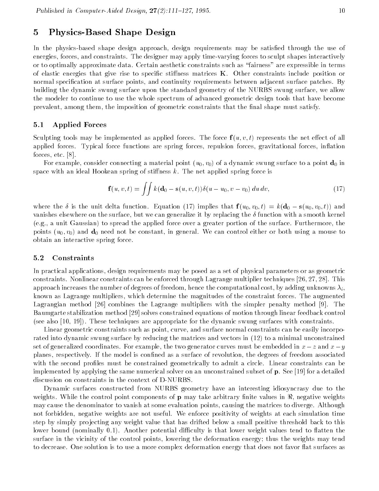## 5 Physics-Based Shape Design

In the physics-based shape design approach, design requirements may be satisfied through the use of energies, forces, and constraints. The designer may apply time-varying forces to sculpt shapes interactively or to optimally approximate data. Certain aesthetic constraints such as \fairness" are expressible in terms of elastic energies that give rise to specific stiffness matrices  $K$ . Other constraints include position or normal specification at surface points, and continuity requirements between adjacent surface patches. By building the dynamic swung surface upon the standard geometry of the NURBS swung surface, we allow the modeler to continue to use the whole spectrum of advanced geometric design tools that have become prevalent, among them, the imposition of geometric constraints that the final shape must satisfy.

### 5.1 Applied Forces

Sculpting tools may be implemented as applied forces. The force  $f(u, v, t)$  represents the net effect of all applied forces. Typical force functions are spring forces, repulsion forces, gravitational forces, inflation forces, etc. [8].

For example, consider connecting a material point  $(u_0, v_0)$  of a dynamic swung surface to a point  $d_0$  in space with an ideal Hookean spring of stiffness  $k$ . The net applied spring force is

$$
\mathbf{f}(u,v,t) = \iint k(\mathbf{d}_0 - \mathbf{s}(u,v,t)) \delta(u - u_0, v - v_0) du dv,
$$
\n(17)

where the  $\delta$  is the unit delta function. Equation (17) implies that  $f(u_0, v_0, t) = k(d_0 - s(u_0, v_0, t))$  and vanishes elsewhere on the surface, but we can generalize it by replacing the  $\delta$  function with a smooth kernel (e.g., a unit Gaussian) to spread the applied force over a greater portion of the surface. Furthermore, the points  $(u_0, v_0)$  and  $\mathbf{d}_0$  need not be constant, in general. We can control either or both using a mouse to obtain an interactive spring force.

#### 5.2 Constraints

In practical applications, design requirements may be posed as a set of physical parameters or as geometric constraints. Nonlinear constraints can be enforced through Lagrange multiplier techniques [26, 27, 28]. This approach increases the number of degrees of freedom, hence the computational cost, by adding unknowns  $\lambda_i$ , known as Lagrange multipliers, which determine the magnitudes of the constraint forces. The augmented Lagrangian method [26] combines the Lagrange multipliers with the simpler penalty method [9]. The Baumgarte stabilization method [29] solves constrained equations of motion through linear feedback control (see also [10, 19]). These techniques are appropriate for the dynamic swung surfaces with constraints.

Linear geometric constraints such as point, curve, and surface normal constraints can be easily incorporated into dynamic swung surface by reducing the matrices and vectors in (12) to a minimal unconstrained set of generalized coordinates. For example, the two generator curves must be embedded in  $x - z$  and  $x - y$ planes, respectively. If the model is confined as a surface of revolution, the degrees of freedom associated with the second profiles must be constrained geometrically to admit a circle. Linear constraints can be implemented by applying the same numerical solver on an unconstrained subset of p. See [19] for a detailed discussion on constraints in the context of D-NURBS.

Dynamic surfaces constructed from NURBS geometry have an interesting idiosyncrasy due to the weights. While the control point components of **p** may take arbitrary finite values in  $\Re$ , negative weights may cause the denominator to vanish at some evaluation points, causing the matrices to diverge. Although not forbidden, negative weights are not useful. We enforce positivity of weights at each simulation time step by simply projecting any weight value that has drifted below a small positive threshold back to this lower bound (nominally 0.1). Another potential difficulty is that lower weight values tend to flatten the surface in the vicinity of the control points, lowering the deformation energy; thus the weights may tend to decrease. One solution is to use a more complex deformation energy that does not favor flat surfaces as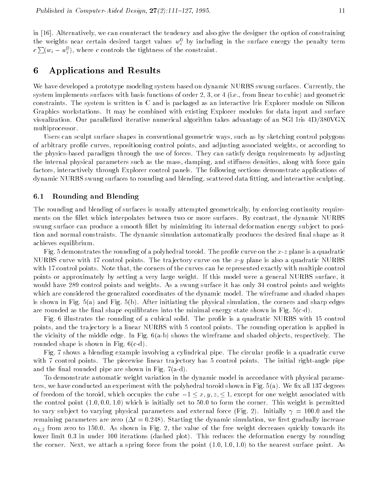in [16]. Alternatively, we can counteract the tendency and also give the designer the option of constraining the weights hear certain desired target values  $w_i^{\pm}$  by including in the surface energy the penalty term i $c\sum (w_i - w_i^0)$ , where  $c$  controls the tightness of the constraint.

## 6 Applications and Results

i

We have developed a prototype modeling system based on dynamic NURBS swung surfaces. Currently, the system implements surfaces with basis functions of order 2, 3, or 4 (i.e., from linear to cubic) and geometric constraints. The system is written in C and is packaged as an interactive Iris Explorer module on Silicon Graphics workstations. It may be combined with existing Explorer modules for data input and surface visualization. Our parallelized iterative numerical algorithm takes advantage of an SGI Iris 4D/380VGX multiprocessor.

Users can sculpt surface shapes in conventional geometric ways, such as by sketching control polygons of arbitrary prole curves, repositioning control points, and adjusting associated weights, or according to the physics-based paradigm through the use of forces. They can satisfy design requirements by adjusting the internal physical parameters such as the mass, damping, and stiffness densities, along with force gain factors, interactively through Explorer control panels. The following sections demonstrate applications of dynamic NURBS swung surfaces to rounding and blending, scattered data fitting, and interactive sculpting.

## 6.1 Rounding and Blending

The rounding and blending of surfaces is usually attempted geometrically, by enforcing continuity requirements on the fillet which interpolates between two or more surfaces. By contrast, the dynamic NURBS swung surface can produce a smooth llet by minimizing its internal deformation energy sub ject to position and normal constraints. The dynamic simulation automatically produces the desired final shape as it achieves equilibrium.

Fig. 5 demonstrates the rounding of a polyhedral toroid. The profile curve on the  $x-z$  plane is a quadratic NURBS curve with 17 control points. The trajectory curve on the x-y plane is also a quadratic NURBS with 17 control points. Note that, the corners of the curves can be represented exactly with multiple control points or approximately by setting a very large weight. If this model were a general NURBS surface, it would have 289 control points and weights. As a swung surface it has only 34 control points and weights which are considered the generalized coordinates of the dynamic model. The wireframe and shaded shapes is shown in Fig. 5(a) and Fig. 5(b). After initiating the physical simulation, the corners and sharp edges are rounded as the final shape equilibrates into the minimal energy state shown in Fig.  $5(c-d)$ .

Fig. 6 illustrates the rounding of a cubical solid. The profile is a quadratic NURBS with 15 control points, and the tra jectory is a linear NURBS with 5 control points. The rounding operation is applied in the vicinity of the middle edge. In Fig. 6(a-b) shows the wireframe and shaded ob jects, respectively. The rounded shape is shown in Fig. 6(c-d).

Fig. 7 shows a blending example involving a cylindrical pipe. The circular profile is a quadratic curve with 7 control points. The piecewise linear trajectory has 5 control points. The initial right-angle pipe and the final rounded pipe are shown in Fig.  $7(a-d)$ .

To demonstrate automatic weight variation in the dynamic model in accordance with physical parameters, we have conducted an experiment with the polyhedral toroid shown in Fig.  $5(a)$ . We fix all 137 degrees of freedom of the toroid, which occupies the cube  $-1 \leq x, y, z \leq 1$ , except for one weight associated with the control point  $(1.0, 0.0, 1.0)$  which is initially set to 50.0 to form the corner. This weight is permitted to vary subject to varying physical parameters and external force (Fig. 2). Initially  $\gamma = 100.0$  and the remaining parameters are zero  $(\Delta t = 0.248)$ . Starting the dynamic simulation, we first gradually increase  $\alpha_{1,2}$  from zero to 150.0. As shown in Fig. 2, the value of the free weight decreases quickly towards its lower limit 0:3 in under 100 iterations (dashed plot). This reduces the deformation energy by rounding the corner. Next, we attach a spring force from the point  $(1.0, 1.0, 1.0)$  to the nearest surface point. As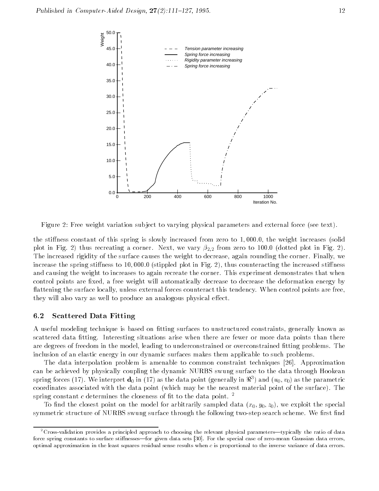



Figure 2: Free weight variation subject to varying physical parameters and external force (see text).

the stiffness constant of this spring is slowly increased from zero to  $1,000.0$ , the weight increases (solid plot in Fig. 2) thus recreating a corner. Next, we vary  $\beta_{2,2}$  from zero to 100.0 (dotted plot in Fig. 2). The increased rigidity of the surface causes the weight to decrease, again rounding the corner. Finally, we increase the spring stiffness to 10,000.0 (stippled plot in Fig. 2), thus counteracting the increased stiffness and causing the weight to increases to again recreate the corner. This experiment demonstrates that when control points are fixed, a free weight will automatically decrease to decrease the deformation energy by flattening the surface locally, unless external forces counteract this tendency. When control points are free, they will also vary as well to produce an analogous physical effect.

## 6.2 Scattered Data Fitting

A useful modeling technique is based on fitting surfaces to unstructured constraints, generally known as scattered data fitting. Interesting situations arise when there are fewer or more data points than there are degrees of freedom in the model, leading to underconstrained or overconstrained fitting problems. The inclusion of an elastic energy in our dynamic surfaces makes them applicable to such problems.

The data interpolation problem is amenable to common constraint techniques [26]. Approximation can be achieved by physically coupling the dynamic NURBS swung surface to the data through Hookean spring forces (17). We interpret  $\mathbf{a}_0$  in (17) as the data point (generally in  $\pi$  ) and ( $u_0,v_0$ ) as the parametric coordinates associated with the data point (which may be the nearest material point of the surface). The spring constant c determines the closeness of fit to the data point.  $^2$ 

To find the closest point on the model for arbitrarily sampled data  $(x_0, y_0, z_0)$ , we exploit the special symmetric structure of NURBS swung surface through the following two-step search scheme. We first find

 $2C$ ross-validation provides a principled approach to choosing the relevant physical parameters—typically the ratio of data force spring constants to surface stiffnesses-for given data sets [30]. For the special case of zero-mean Gaussian data errors, optimal approximation in the least squares residual sense results when <sup>c</sup> is proportional to the inverse variance of data errors.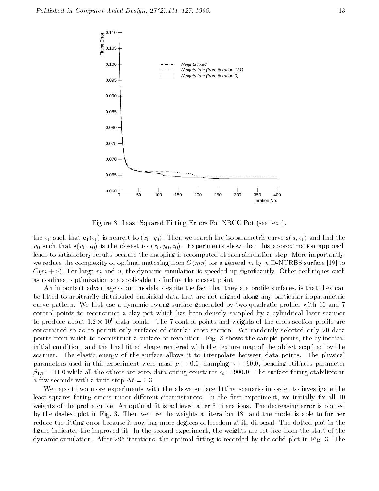

Figure 3: Least Squared Fitting Errors For NRCC Pot (see text).

the  $v_0$  such that  $c_1(v_0)$  is nearest to  $(x_0, y_0)$ . Then we search the isoparametric curve  $s(u, v_0)$  and find the  $u_0$  such that  $s(u_0, v_0)$  is the closest to  $(x_0, y_0, z_0)$ . Experiments show that this approximation approach leads to satisfactory results because the mapping is recomputed at each simulation step. More importantly, we reduce the complexity of optimal matching from  $O(mn)$  for a general m by n D-NURBS surface [19] to  $O(m+n)$ . For large m and n, the dynamic simulation is speeded up significantly. Other techniques such as nonlinear optimization are applicable to finding the closest point.

An important advantage of our models, despite the fact that they are profile surfaces, is that they can be fitted to arbitrarily distributed empirical data that are not aligned along any particular isoparametric curve pattern. We first use a dynamic swung surface generated by two quadratic profiles with 10 and 7 control points to reconstruct a clay pot which has been densely sampled by a cylindrical laser scanner to produce about 1.2  $\times$  10° data points. The 7 control points and weights of the cross-section prome are constrained so as to permit only surfaces of circular cross section. We randomly selected only 20 data points from which to reconstruct a surface of revolution. Fig. 8 shows the sample points, the cylindrical initial condition, and the final fitted shape rendered with the texture map of the object acquired by the scanner. The elastic energy of the surface allows it to interpolate between data points. The physical parameters used in this experiment were mass  $\mu = 0.0$ , damping  $\gamma = 60.0$ , bending stiffness parameter  $\beta_{1,1} = 14.0$  while all the others are zero, data spring constants  $c_i = 900.0$ . The surface fitting stabilizes in a few seconds with a time step  $\Delta t = 0.3$ .

We report two more experiments with the above surface fitting scenario in order to investigate the least-squares fitting errors under different circumstances. In the first experiment, we initially fix all 10 weights of the profile curve. An optimal fit is achieved after 81 iterations. The decreasing error is plotted by the dashed plot in Fig. 3. Then we free the weights at iteration 131 and the model is able to further reduce the fitting error because it now has more degrees of freedom at its disposal. The dotted plot in the figure indicates the improved fit. In the second experiment, the weights are set free from the start of the dynamic simulation. After 295 iterations, the optimal fitting is recorded by the solid plot in Fig. 3. The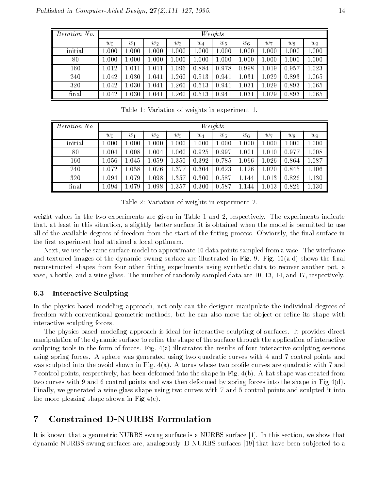| <i>Iteration No.</i> | Weights |       |       |           |           |       |                   |       |       |       |  |
|----------------------|---------|-------|-------|-----------|-----------|-------|-------------------|-------|-------|-------|--|
|                      | $w_0$   | $w_1$ | $w_2$ | $w_3$     | $w_4$     | $w_5$ | $w_{\mathcal{E}}$ | $w_7$ | $w_8$ | $w_9$ |  |
| initial              | 1.000   | 1.000 | 1.000 | 1.000     | 1.000     | 0.001 | $1.000\,$         | 1.000 | 1.000 | 1.000 |  |
| 80                   | 1.000   | 1.000 | 1.000 | 1.000     | $1.000\,$ | 000.1 | $1.000\,$         | 1.000 | 1.000 | 1.000 |  |
| 160                  | 1.012   | 1.011 | 1.011 | $1.096\,$ | 0.884     | 0.978 | 0.998             | 1.019 | 0.957 | 1.023 |  |
| 240                  | 1.042   | 1.030 | 1.041 | $1.260\,$ | 0.513     | 0.941 | 1.031             | 1.029 | 0.893 | 1.065 |  |
| 320                  | 1.042   | 1.030 | 1.041 | $1.260\,$ | 0.513     | 0.941 | .031              | .029  | 0.893 | 1.065 |  |
| final                | 1.042   | 1.030 | 1.041 | .260      | 0.513     | 0.941 | 1.031             | 1.029 | 0.893 | 1.065 |  |

Table 1: Variation of weights in experiment 1.

| <i>Iteration No.</i> | Weights   |           |           |           |           |           |         |           |       |       |
|----------------------|-----------|-----------|-----------|-----------|-----------|-----------|---------|-----------|-------|-------|
|                      | $w_0$     | $w_1$     | $w_2$     | $w_3$     | $w_4$     | $w_5$     | $w_{6}$ | $w_7$     | $w_8$ | $w_9$ |
| initial              | 0.001     | 1.000     | 1.000     | 1.000     | $1.000\,$ | $1.000\,$ | 1.000   | $1.000\,$ | 1.000 | 1.000 |
| 80                   | 1.004     | $1.008\,$ | 1.004     | $1.060\,$ | 0.925     | 0.997     | 1.001   | $1.010\,$ | 0.977 | 1.008 |
| 160                  | $1.056\,$ | $1.045\,$ | 1.059     | 1.350     | 0.392     | 0.785     | 1.066   | 1.026     | 0.864 | 1.087 |
| 240                  | $1.072\,$ | $1.058\,$ | 1.076     | 1.377     | 0.304     | 0.623     | 1.126   | 1.020     | 0.845 | 1.106 |
| 320                  | 1.094     | 1.079     | 1.098     | 1.357     | 0.300     | 0.587     | 1.144   | 1.013     | 0.826 | 1.130 |
| final                | 1.094     | l .079    | $1.098\,$ | 1.357     | 0.300     | 0.587     | .144    | 1.013     | 0.826 | 1.130 |

Table 2: Variation of weights in experiment 2.

weight values in the two experiments are given in Table 1 and 2, respectively. The experiments indicate that, at least in this situation, a slightly better surface fit is obtained when the model is permitted to use all of the available degrees of freedom from the start of the fitting process. Obviously, the final surface in the first experiment had attained a local optimum.

Next, we use the same surface model to approximate 10 data points sampled from a vase. The wireframe and textured images of the dynamic swung surface are illustrated in Fig. 9. Fig.  $10(a-d)$  shows the final reconstructed shapes from four other fitting experiments using synthetic data to recover another pot, a vase, a bottle, and a wine glass. The number of randomly sampled data are 10, 13, 14, and 17, respectively.

## 6.3 Interactive Sculpting

In the physics-based modeling approach, not only can the designer manipulate the individual degrees of freedom with conventional geometric methods, but he can also move the object or refine its shape with interactive sculpting forces.

The physics-based modeling approach is ideal for interactive sculpting of surfaces. It provides direct manipulation of the dynamic surface to refine the shape of the surface through the application of interactive sculpting tools in the form of forces. Fig. 4(a) illustrates the results of four interactive sculpting sessions using spring forces. A sphere was generated using two quadratic curves with 4 and 7 control points and was sculpted into the ovoid shown in Fig.  $4(a)$ . A torus whose two profile curves are quadratic with 7 and 7 control points, respectively, has been deformed into the shape in Fig. 4(b). A hat shape was created from two curves with 9 and 6 control points and was then deformed by spring forces into the shape in Fig 4(d). Finally, we generated a wine glass shape using two curves with 7 and 5 control points and sculpted it into the more pleasing shape shown in Fig  $4(c)$ .

## 7 Constrained D-NURBS Formulation

It is known that a geometric NURBS swung surface is a NURBS surface [1]. In this section, we show that dynamic NURBS swung surfaces are, analogously, D-NURBS surfaces [19] that have been sub jected to a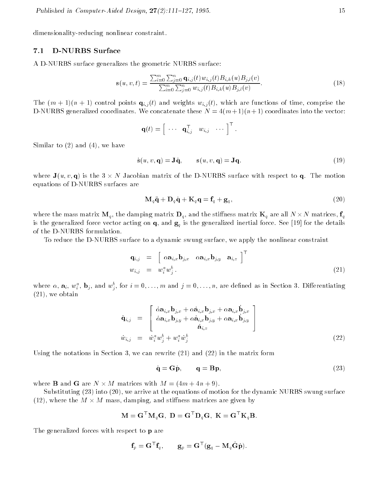dimensionality-reducing nonlinear constraint.

## 7.1 D-NURBS Surface

A D-NURBS surface generalizes the geometric NURBS surface:

$$
\mathbf{s}(u,v,t) = \frac{\sum_{i=0}^{m} \sum_{j=0}^{n} \mathbf{q}_{i,j}(t) w_{i,j}(t) B_{i,k}(u) B_{j,l}(v)}{\sum_{i=0}^{m} \sum_{j=0}^{n} w_{i,j}(t) B_{i,k}(u) B_{j,l}(v)}.
$$
(18)

The (m + 1)(n + 1) control points qi;j (t) and weights wi;j (t), which are functions of time, comprise the D-NURBS generalized coordinates. We concatenate these  $N = 4(m+1)(n+1)$  coordinates into the vector:

$$
\mathbf{q}(t) = \begin{bmatrix} \cdots & \mathbf{q}_{i,j}^{\mathsf{T}} & w_{i,j} & \cdots \end{bmatrix}^{\mathsf{T}}.
$$

Similar to (2) and (4), we have

$$
\dot{\mathbf{s}}(u, v, \mathbf{q}) = \mathbf{J}\dot{\mathbf{q}}, \qquad \mathbf{s}(u, v, \mathbf{q}) = \mathbf{J}\mathbf{q}.
$$
 (19)

where  $\bullet$  (with  $\bullet$ ) is the  $\bullet$   $\wedge$   $\cdot$  for  $\theta$  we solve matrix of the D-NURBS surface with respect to  $\bullet$   $\bullet$   $\bullet$   $\bullet$   $\bullet$   $\bullet$ equations of D-NURBS surfaces are

$$
\mathbf{M}_q \ddot{\mathbf{q}} + \mathbf{D}_q \dot{\mathbf{q}} + \mathbf{K}_q \mathbf{q} = \mathbf{f}_q + \mathbf{g}_q, \qquad (20)
$$

where the matrix matrix  $\alpha$  , the damping matrix  $\alpha$  are all n stiness matrix  $\alpha$  are all  $\alpha$  are all  $\alpha$ is the generalized force vector acting on  $\mathbf{u}$  for the generalized inertial force. See [1] for the details for of the D-NURBS formulation.

To reduce the D-NURBS surface to a dynamic swung surface, we apply the nonlinear constraint

$$
\begin{array}{rcl}\n\mathbf{q}_{i,j} & = & \left[ \begin{array}{cc} \alpha \mathbf{a}_{i,x} \mathbf{b}_{j,x} & \alpha \mathbf{a}_{i,x} \mathbf{b}_{j,y} & \mathbf{a}_{i,z} \end{array} \right]^{\top} \\
w_{i,j} & = & w_i^a w_j^b \,.\n\end{array}\n\tag{21}
$$

where  $\alpha, \, \mathbf{a}_i, \, w_i$  ,  $\mathbf{b}_j, \, \text{and} \, w_j,$  for  $i=0,\ldots,m$  and  $j=0,\ldots,n$  are defined as in Section 3. Differentiating (21), we obtain

$$
\dot{\mathbf{q}}_{i,j} = \begin{bmatrix} \dot{\alpha} \mathbf{a}_{i,x} \mathbf{b}_{j,x} + \alpha \dot{\mathbf{a}}_{i,x} \mathbf{b}_{j,x} + \alpha \mathbf{a}_{i,x} \dot{\mathbf{b}}_{j,x} \\ \dot{\alpha} \mathbf{a}_{i,x} \mathbf{b}_{j,y} + \alpha \dot{\mathbf{a}}_{i,x} \mathbf{b}_{j,y} + \alpha \mathbf{a}_{i,x} \dot{\mathbf{b}}_{j,y} \\ \dot{\mathbf{a}}_{i,z} \end{bmatrix}
$$
\n
$$
\dot{w}_{i,j} = \dot{w}_i^a w_j^b + w_i^a \dot{w}_j^b
$$
\n(22)

Using the notations in Section 3, we can rewrite (21) and (22) in the matrix form

$$
\dot{\mathbf{q}} = \mathbf{G}\dot{\mathbf{p}}, \qquad \mathbf{q} = \mathbf{B}\mathbf{p}, \tag{23}
$$

where B and G are <sup>N</sup> - <sup>M</sup> matrices with <sup>M</sup> = (4<sup>m</sup> + 4n + 9).

Substituting (23) into (20), we arrive at the equations of motion for the dynamic NURBS swung surface (12), where the M  $\alpha$  - mass, damping, and sting, where  $\alpha$  is the matrices matrices  $\alpha$  are  $\beta$ 

$$
\mathbf{M} = \mathbf{G}^\top \mathbf{M}_q \mathbf{G}, \; \mathbf{D} = \mathbf{G}^\top \mathbf{D}_q \mathbf{G}, \; \mathbf{K} = \mathbf{G}^\top \mathbf{K}_q \mathbf{B}.
$$

The generalized forces with respect to **p** are

$$
\mathbf{f}_p = \mathbf{G}^\top \mathbf{f}_q, \qquad \mathbf{g}_p = \mathbf{G}^\top (\mathbf{g}_q - \mathbf{M}_q \dot{\mathbf{G}} \dot{\mathbf{p}}).
$$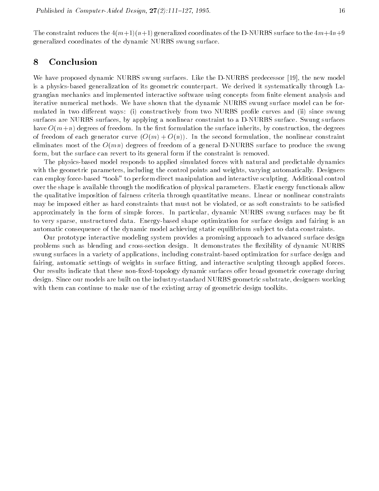The constraint reduces the  $4(m+1)(n+1)$  generalized coordinates of the D-NURBS surface to the  $4m+4n+9$ generalized coordinates of the dynamic NURBS swung surface.

## 8 Conclusion

We have proposed dynamic NURBS swung surfaces. Like the D-NURBS predecessor [19], the new model is a physics-based generalization of its geometric counterpart. We derived it systematically through Lagrangian mechanics and implemented interactive software using concepts from finite element analysis and iterative numerical methods. We have shown that the dynamic NURBS swung surface model can be formulated in two different ways: (i) constructively from two NURBS profile curves and (ii) since swung surfaces are NURBS surfaces, by applying a nonlinear constraint to a D-NURBS surface. Swung surfaces have  $O(m+n)$  degrees of freedom. In the first formulation the surface inherits, by construction, the degrees of freedom of each generator curve  $(O(m) + O(n))$ . In the second formulation, the nonlinear constraint eliminates most of the  $O(mn)$  degrees of freedom of a general D-NURBS surface to produce the swung form, but the surface can revert to its general form if the constraint is removed.

The physics-based model responds to applied simulated forces with natural and predictable dynamics with the geometric parameters, including the control points and weights, varying automatically. Designers can employ force-based "tools" to perform direct manipulation and interactive sculpting. Additional control over the shape is available through the modication of physical parameters. Elastic energy functionals allow the qualitative imposition of fairness criteria through quantitative means. Linear or nonlinear constraints may be imposed either as hard constraints that must not be violated, or as soft constraints to be satised approximately in the form of simple forces. In particular, dynamic NURBS swung surfaces may be fit to very sparse, unstructured data. Energy-based shape optimization for surface design and fairing is an automatic consequence of the dynamic model achieving static equilibrium sub ject to data constraints.

Our prototype interactive modeling system provides a promising approach to advanced surface design problems such as blending and cross-section design. It demonstrates the flexibility of dynamic NURBS swung surfaces in a variety of applications, including constraint-based optimization for surface design and fairing, automatic settings of weights in surface fitting, and interactive sculpting through applied forces. Our results indicate that these non-fixed-topology dynamic surfaces offer broad geometric coverage during design. Since our models are built on the industry-standard NURBS geometric substrate, designers working with them can continue to make use of the existing array of geometric design toolkits.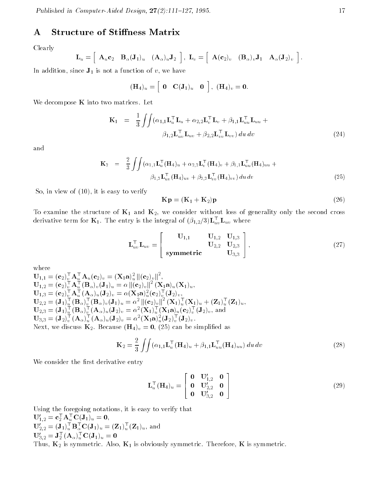## A Structure of Stiffness Matrix

Clearly

$$
\mathbf{L}_u = \left[ \begin{array}{cc} \mathbf{A}_u \mathbf{c}_2 & \mathbf{B}_\alpha (\mathbf{J}_1)_u & (\mathbf{A}_\alpha)_u \mathbf{J}_2 \end{array} \right], \ \mathbf{L}_v = \left[ \begin{array}{cc} \mathbf{A}(\mathbf{c}_2)_v & (\mathbf{B}_\alpha)_v \mathbf{J}_1 & \mathbf{A}_\alpha (\mathbf{J}_2)_v \end{array} \right].
$$

In addition, since  $J_1$  is not a function of v, we have

$$
(\mathbf{H}_4)_u = \begin{bmatrix} \mathbf{0} & \mathbf{C}(\mathbf{J}_1)_u & \mathbf{0} \end{bmatrix}, (\mathbf{H}_4)_v = \mathbf{0}.
$$

We decompose  $K$  into two matrices. Let

$$
\mathbf{K}_{1} = \frac{1}{3} \iint (\alpha_{1,1} \mathbf{L}_{u}^{\top} \mathbf{L}_{u} + \alpha_{2,2} \mathbf{L}_{v}^{\top} \mathbf{L}_{v} + \beta_{1,1} \mathbf{L}_{uu}^{\top} \mathbf{L}_{uu} + \beta_{1,2} \mathbf{L}_{uu}^{\top} \mathbf{L}_{uv} + \beta_{2,2} \mathbf{L}_{vv}^{\top} \mathbf{L}_{vv} du dv
$$
\n(24)

and

$$
\mathbf{K}_2 = \frac{2}{3} \int \int (\alpha_{1,1} \mathbf{L}_u^\top (\mathbf{H}_4)_u + \alpha_{2,2} \mathbf{L}_v^\top (\mathbf{H}_4)_v + \beta_{1,1} \mathbf{L}_u^\top (\mathbf{H}_4)_{uu} +
$$
  

$$
\beta_{1,2} \mathbf{L}_{uv}^\top (\mathbf{H}_4)_{uv} + \beta_{2,2} \mathbf{L}_{vv}^\top (\mathbf{H}_4)_{vv} \, du \, dv \tag{25}
$$

So, in view of (10), it is easy to verify

$$
\mathbf{Kp} = (\mathbf{K}_1 + \mathbf{K}_2)\mathbf{p} \tag{26}
$$

To examine the structure of  $K_1$  and  $K_2$ , we consider without loss of generality only the second cross derivative term for  $\mathbf{K}_1$ . The entry is the integral of  $(\beta_{1,2}/\beta)\mathbf{L}_{uv}\mathbf{L}_{uv}$  where

$$
\mathbf{L}_{uv}^{\top} \mathbf{L}_{uv} = \begin{bmatrix} \mathbf{U}_{1,1} & \mathbf{U}_{1,2} & \mathbf{U}_{1,3} \\ \mathbf{U}_{2,2} & \mathbf{U}_{2,3} \\ \mathbf{symmetric} & \mathbf{U}_{3,3} \end{bmatrix},
$$
(27)

where

$$
U_{1,1} = (c_2)^{\top}_{v} A_u^{\top} A_u (c_2)_v = (X_1 a)^2_{u} ||(c_2)_v||^2,
$$
  
\n
$$
U_{1,2} = (c_2)^{\top}_{v} A_u^{\top} (B_{\alpha})_v (J_1)_u = \alpha ||(c_2)_v||^2 (X_1 a)_u (X_1)_u,
$$
  
\n
$$
U_{1,3} = (c_2)^{\top}_{v} A_u^{\top} (A_{\alpha})_u (J_2)_v = \alpha (X_1 a)^2_u (c_2)^{\top}_{v} (J_2)_v,
$$
  
\n
$$
U_{2,2} = (J_1)^{\top}_{u} (B_{\alpha})^{\top}_{v} (B_{\alpha})_v (J_1)_u = \alpha^2 ||(c_2)_v||^2 (X_1)^{\top}_{u} (X_1)_u + (Z_1)^{\top}_{u} (Z_1)_u,
$$
  
\n
$$
U_{2,3} = (J_1)^{\top}_{u} (B_{\alpha})^{\top}_{v} (A_{\alpha})_u (J_2)_v = \alpha^2 (X_1)^{\top}_{u} (X_1 a)_u (c_2)^{\top}_{v} (J_2)_v, \text{ and}
$$
  
\n
$$
U_{3,3} = (J_2)^{\top}_{v} (A_{\alpha})^{\top}_{u} (A_{\alpha})_u (J_2)_v = \alpha^2 (X_1 a)^2_u (J_2)^{\top}_{v} (J_2)_v.
$$
  
\nNext, we discuss  $K_2$ . Because  $(H_4)_v = 0$ , (25) can be simplified as

$$
\mathbf{K}_2 = \frac{2}{3} \int \int (\alpha_{1,1} \mathbf{L}_u^\top (\mathbf{H}_4)_u + \beta_{1,1} \mathbf{L}_{uu}^\top (\mathbf{H}_4)_{uu}) du dv
$$
 (28)

We consider the first derivative entry

$$
\mathbf{L}_u^{\top}(\mathbf{H}_4)_u = \begin{bmatrix} \mathbf{0} & \mathbf{U}_{1,2}^{\prime} & \mathbf{0} \\ \mathbf{0} & \mathbf{U}_{2,2}^{\prime} & \mathbf{0} \\ \mathbf{0} & \mathbf{U}_{3,2}^{\prime} & \mathbf{0} \end{bmatrix}
$$
(29)

Using the foregoing notations, it is easy to verify that  ${\bf U}_{1,2} = {\bf C}_2 \cdot {\bf A}_u \cdot {\bf U}({\bf J}_1)_u = {\bf U},$  $\mathbf{U}_{2,2} = (\mathbf{J}_1)_{u} \mathbf{B}_{\alpha} \mathbf{U} (\mathbf{J}_1)_{u} = (\mathbf{Z}_1)_{u} (\mathbf{Z}_1)_{u},$  and  $U_{3,2} = J_2 (A_{\alpha})_u U(J_1)_u = 0$ Thus,  $K_2$  is symmetric. Also,  $K_1$  is obviously symmetric. Therefore, K is symmetric.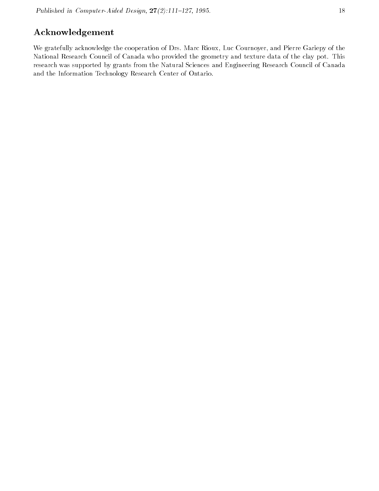## Acknowledgement

We gratefully acknowledge the cooperation of Drs. Marc Rioux, Luc Cournoyer, and Pierre Gariepy of the National Research Council of Canada who provided the geometry and texture data of the clay pot. This research was supported by grants from the Natural Sciences and Engineering Research Council of Canada and the Information Technology Research Center of Ontario.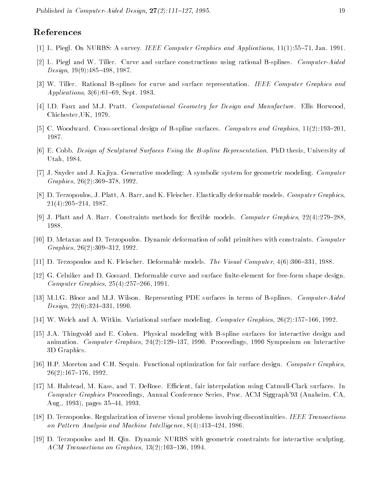## References

- [1] L. Piegl. On NURBS: A survey. IEEE Computer Graphics and Applications, 11(1):55-71, Jan. 1991.
- [2] L. Piegl and W. Tiller. Curve and surface constructions using rational B-splines. Computer-Aided  $Design, 19(9): 485-498, 1987.$
- [3] W. Tiller. Rational B-splines for curve and surface representation. IEEE Computer Graphics and Applications,  $3(6):61{-}69$ , Sept. 1983.
- [4] I.D. Faux and M.J. Pratt. Computational Geometry for Design and Manufacture. Ellis Horwood, Chichester,UK, 1979.
- [5] C. Woodward. Cross-sectional design of B-spline surfaces. Computers and Graphics,  $11(2):193{-}201$ . 1987.
- [6] E. Cobb. Design of Sculptured Surfaces Using the B-spline Representation. PhD thesis, University of Utah, 1984.
- [7] J. Snyder and J. Ka jiya. Generative modeling: A symbolic system for geometric modeling. Computer  $Graphics, 26(2):369-378, 1992.$
- [8] D. Terzopoulos, J. Platt, A. Barr, and K. Fleischer. Elastically deformable models. Computer Graphics,  $21(4):205{-}214, 1987.$
- [9] J. Platt and A. Barr. Constraints methods for flexible models. Computer Graphics,  $22(4)$ :279–288. 1988.
- [10] D. Metaxas and D. Terzopoulos. Dynamic deformation of solid primitives with constraints. Computer  $Graphics, 26(2):309-312, 1992.$
- [11] D. Terzopoulos and K. Fleischer. Deformable models. The Visual Computer,  $4(6)$ :306-331, 1988.
- [12] G. Celniker and D. Gossard. Deformable curve and surface finite-element for free-form shape design. Computer Graphics,  $25(4)$ :  $257–266$ , 1991.
- [13] M.I.G. Bloor and M.J. Wilson. Representing PDE surfaces in terms of B-splines. Computer-Aided  $Design, 22(6):324-331, 1990.$
- [14] W. Welch and A. Witkin. Variational surface modeling. *Computer Graphics*,  $26(2):157{-}166, 1992$ .
- [15] J.A. Thingvold and E. Cohen. Physical modeling with B-spline surfaces for interactive design and animation. Computer Graphics,  $24(2):129-137$ , 1990. Proceedings, 1990 Symposium on Interactive 3D Graphics.
- [16] H.P. Moreton and C.H. Sequin. Functional optimization for fair surface design. Computer Graphics,  $26(2):167{-}176, 1992.$
- [17] M. Halstead, M. Kass, and T. DeRose. Efficient, fair interpolation using Catmull-Clark surfaces. In Computer Graphics Proceedings, Annual Conference Series, Proc. ACM Siggraph'93 (Anaheim, CA, Aug., 1993), pages 35–44, 1993.
- [18] D. Terzopoulos. Regularization of inverse visual problems involving discontinuities. IEEE Transactions on Pattern Analysis and Machine Intelligence,  $8(4)$ : 413-424, 1986.
- [19] D. Terzopoulos and H. Qin. Dynamic NURBS with geometric constraints for interactive sculpting.  $ACM$  Transactions on Graphics,  $13(2):103-136$ , 1994.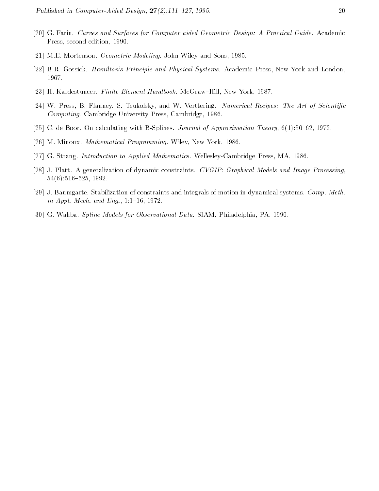- [20] G. Farin. Curves and Surfaces for Computer aided Geometric Design: A Practical Guide. Academic Press, second edition, 1990.
- [21] M.E. Mortenson. Geometric Modeling. John Wiley and Sons, 1985.
- [22] B.R. Gossick. Hamilton's Principle and Physical Systems. Academic Press, New York and London, 1967.
- [23] H. Kardestuncer. Finite Element Handbook. McGraw-Hill, New York, 1987.
- [24] W. Press, B. Flanney, S. Teukolsky, and W. Verttering. Numerical Recipes: The Art of Scientific Computing. Cambridge University Press, Cambridge, 1986.
- [25] C. de Boor. On calculating with B-Splines. *Journal of Approximation Theory*,  $6(1):50{-}62, 1972$ .
- [26] M. Minoux. Mathematical Programming. Wiley, New York, 1986.
- [27] G. Strang. Introduction to Applied Mathematics. Wellesley-Cambridge Press, MA, 1986.
- [28] J. Platt. A generalization of dynamic constraints. CVGIP: Graphical Models and Image Processing,  $54(6):516-525, 1992.$
- [29] J. Baumgarte. Stabilization of constraints and integrals of motion in dynamical systems. Comp. Meth. in Appl. Mech. and Eng.,  $1:1-16$ , 1972.
- [30] G. Wahba. Spline Models for Observational Data. SIAM, Philadelphia, PA, 1990.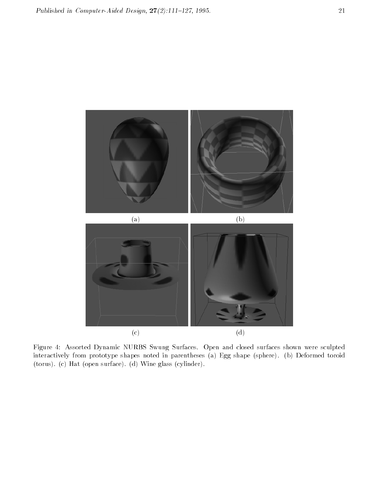

Figure 4: Assorted Dynamic NURBS Swung Surfaces. Open and closed surfaces shown were sculpted interactively from prototype shapes noted in parentheses (a) Egg shape (sphere). (b) Deformed toroid (torus). (c) Hat (open surface). (d) Wine glass (cylinder).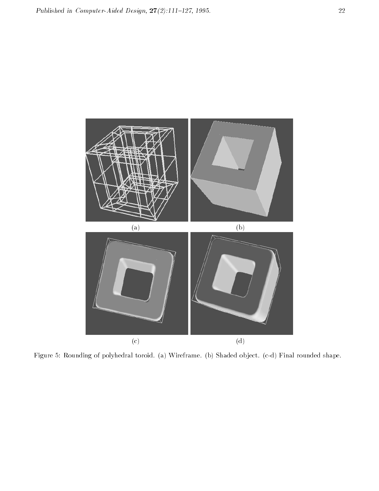

Figure 5: Rounding of polyhedral toroid. (a) Wireframe. (b) Shaded ob ject. (c-d) Final rounded shape.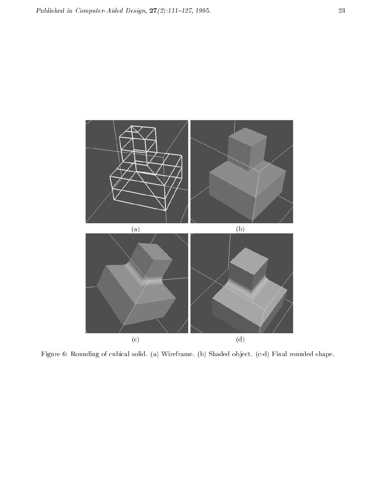

Figure 6: Rounding of cubical solid. (a) Wireframe. (b) Shaded ob ject. (c-d) Final rounded shape.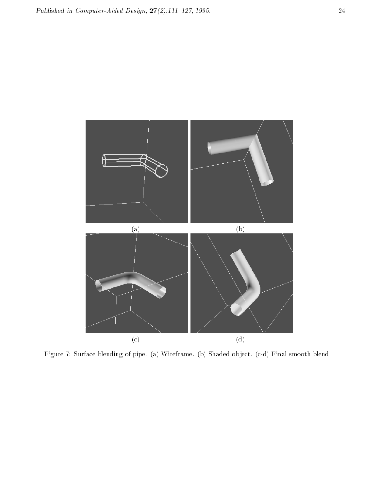

Figure 7: Surface blending of pipe. (a) Wireframe. (b) Shaded ob ject. (c-d) Final smooth blend.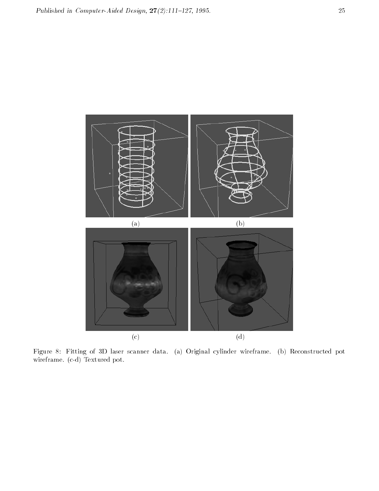

Figure 8: Fitting of 3D laser scanner data. (a) Original cylinder wireframe. (b) Reconstructed pot wireframe. (c-d) Textured pot.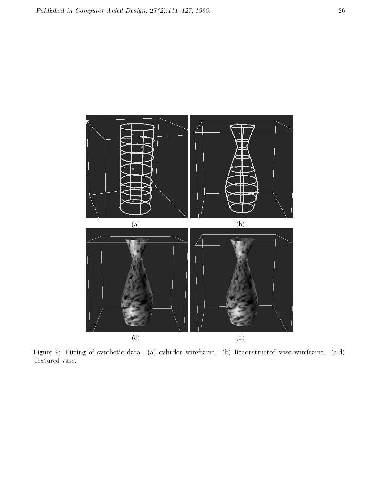

Figure 9: Fitting of synthetic data. (a) cylinder wireframe. (b) Reconstructed vase wireframe. (c-d) Textured vase.